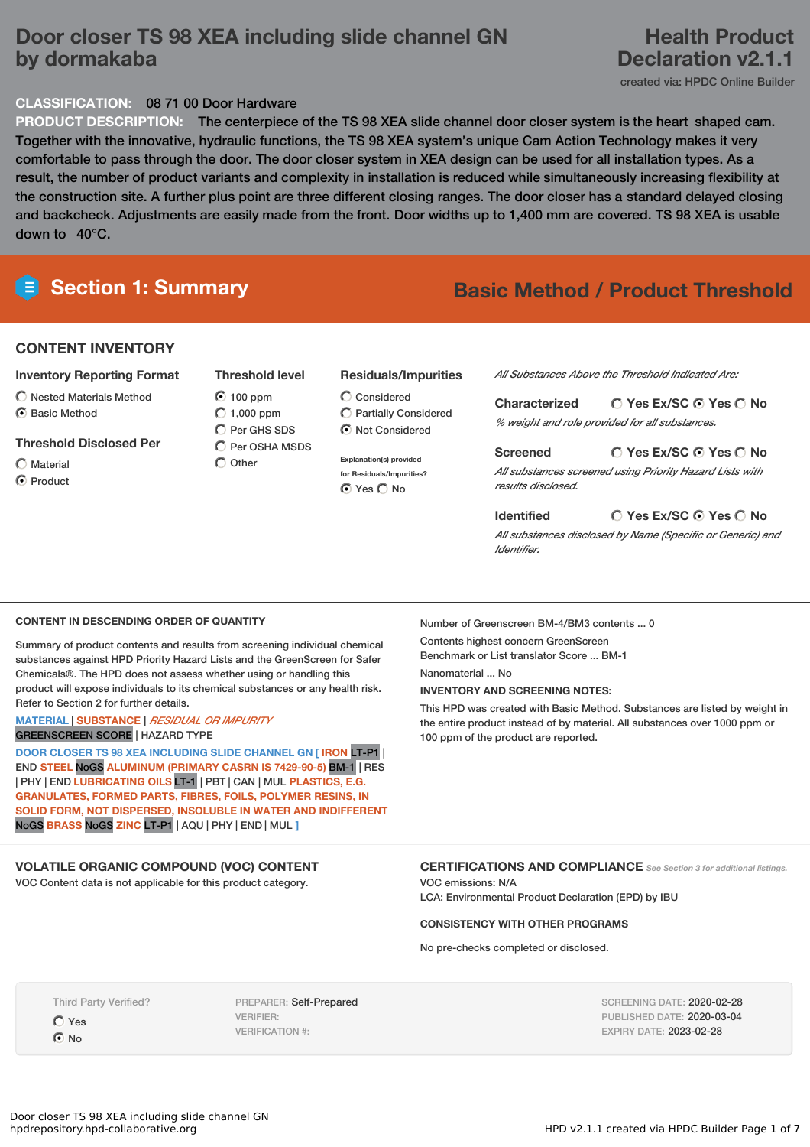# **Door closer TS 98 XEA including slide channel GN by dormakaba**

# **Health Product Declaration v2.1.1**

created via: HPDC Online Builder

# **CLASSIFICATION:** 08 71 00 Door Hardware

**PRODUCT DESCRIPTION:** The centerpiece of the TS 98 XEA slide channel door closer system is the heart shaped cam. Together with the innovative, hydraulic functions, the TS 98 XEA system's unique Cam Action Technology makes it very comfortable to pass through the door. The door closer system in XEA design can be used for all installation types. As a result, the number of product variants and complexity in installation is reduced while simultaneously increasing flexibility at the construction site. A further plus point are three different closing ranges. The door closer has a standard delayed closing and backcheck. Adjustments are easily made from the front. Door widths up to 1,400 mm are covered. TS 98 XEA is usable down to 40°C.



# **Section 1: Summary Basic Method / Product Threshold**

# **CONTENT INVENTORY**

# **Inventory Reporting Format**

- $\bigcirc$  Nested Materials Method
- C Basic Method

## **Threshold Disclosed Per**

- Material
- **O** Product

|                 | $\odot$ 100 ppm      |
|-----------------|----------------------|
|                 | $\bigcirc$ 1,000 ppm |
|                 | C Per GHS SDS        |
|                 | C Per OSHA MSDS      |
| $\bigcup$ Other |                      |

**Threshold level**

## **Residuals/Impurities**

- $\bigcirc$  Considered Partially Considered Not Considered
- **Explanation(s) provided for Residuals/Impurities? ⊙** Yes ◯ No

*All Substances Above the Threshold Indicated Are:*

**Yes Ex/SC Yes No Characterized** *% weight and role provided for all substances.*

**Yes Ex/SC Yes No Screened** *All substances screened using Priority Hazard Lists with results disclosed.*

### **Yes Ex/SC Yes No Identified**

*All substances disclosed by Name (Specific or Generic) and Identifier.*

### **CONTENT IN DESCENDING ORDER OF QUANTITY**

Summary of product contents and results from screening individual chemical substances against HPD Priority Hazard Lists and the GreenScreen for Safer Chemicals®. The HPD does not assess whether using or handling this product will expose individuals to its chemical substances or any health risk. Refer to Section 2 for further details.

## **MATERIAL** | **SUBSTANCE** | *RESIDUAL OR IMPURITY* GREENSCREEN SCORE | HAZARD TYPE

**DOOR CLOSER TS 98 XEA INCLUDING SLIDE CHANNEL GN [ IRON** LT-P1 | END **STEEL** NoGS **ALUMINUM (PRIMARY CASRN IS 7429-90-5)** BM-1 | RES | PHY | END **LUBRICATING OILS** LT-1 | PBT | CAN | MUL **PLASTICS, E.G. GRANULATES, FORMED PARTS, FIBRES, FOILS, POLYMER RESINS, IN SOLID FORM, NOT DISPERSED, INSOLUBLE IN WATER AND INDIFFERENT** NoGS **BRASS** NoGS **ZINC** LT-P1 | AQU | PHY | END | MUL **]**

# **VOLATILE ORGANIC COMPOUND (VOC) CONTENT**

VOC Content data is not applicable for this product category.

Number of Greenscreen BM-4/BM3 contents ... 0

Contents highest concern GreenScreen Benchmark or List translator Score ... BM-1

Nanomaterial ... No

## **INVENTORY AND SCREENING NOTES:**

This HPD was created with Basic Method. Substances are listed by weight in the entire product instead of by material. All substances over 1000 ppm or 100 ppm of the product are reported.

**CERTIFICATIONS AND COMPLIANCE** *See Section <sup>3</sup> for additional listings.*

VOC emissions: N/A LCA: Environmental Product Declaration (EPD) by IBU

### **CONSISTENCY WITH OTHER PROGRAMS**

No pre-checks completed or disclosed.

Third Party Verified?

Yes C No

PREPARER: Self-Prepared VERIFIER: VERIFICATION #:

SCREENING DATE: 2020-02-28 PUBLISHED DATE: 2020-03-04 EXPIRY DATE: 2023-02-28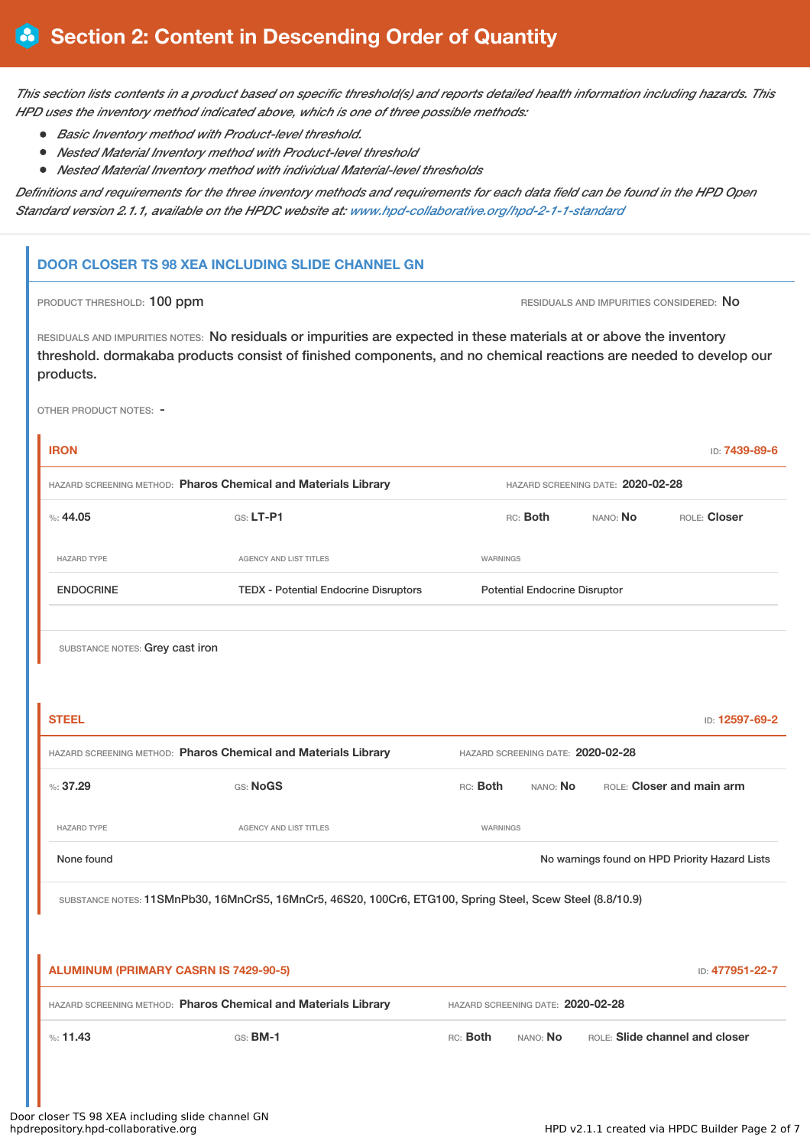This section lists contents in a product based on specific threshold(s) and reports detailed health information including hazards. This *HPD uses the inventory method indicated above, which is one of three possible methods:*

- *Basic Inventory method with Product-level threshold.*
- *Nested Material Inventory method with Product-level threshold*
- *Nested Material Inventory method with individual Material-level thresholds*

Definitions and requirements for the three inventory methods and requirements for each data field can be found in the HPD Open *Standard version 2.1.1, available on the HPDC website at: [www.hpd-collaborative.org/hpd-2-1-1-standard](https://www.hpd-collaborative.org/hpd-2-1-1-standard)*

# **DOOR CLOSER TS 98 XEA INCLUDING SLIDE CHANNEL GN**

PRODUCT THRESHOLD: 100 ppm **RESIDUALS AND IMPURITIES CONSIDERED:** No

RESIDUALS AND IMPURITIES NOTES: No residuals or impurities are expected in these materials at or above the inventory threshold. dormakaba products consist of finished components, and no chemical reactions are needed to develop our products.

OTHER PRODUCT NOTES: -

| <b>IRON</b>                                                                                         |                                                                                                           |                                      |                                      |                                   | ID: 7439-89-6                                  |
|-----------------------------------------------------------------------------------------------------|-----------------------------------------------------------------------------------------------------------|--------------------------------------|--------------------------------------|-----------------------------------|------------------------------------------------|
| HAZARD SCREENING METHOD: Pharos Chemical and Materials Library                                      |                                                                                                           |                                      |                                      | HAZARD SCREENING DATE: 2020-02-28 |                                                |
| %: 44.05                                                                                            | GS: LT-P1                                                                                                 | ROLE: Closer<br>RC: Both<br>NANO: No |                                      |                                   |                                                |
| HAZARD TYPE                                                                                         | AGENCY AND LIST TITLES                                                                                    | WARNINGS                             |                                      |                                   |                                                |
| <b>ENDOCRINE</b>                                                                                    | <b>TEDX - Potential Endocrine Disruptors</b>                                                              |                                      | <b>Potential Endocrine Disruptor</b> |                                   |                                                |
|                                                                                                     |                                                                                                           |                                      |                                      |                                   |                                                |
| SUBSTANCE NOTES: Grey cast iron                                                                     |                                                                                                           |                                      |                                      |                                   |                                                |
|                                                                                                     |                                                                                                           |                                      |                                      |                                   |                                                |
| <b>STEEL</b>                                                                                        |                                                                                                           |                                      |                                      |                                   | ID: 12597-69-2                                 |
| HAZARD SCREENING METHOD: Pharos Chemical and Materials Library<br>HAZARD SCREENING DATE: 2020-02-28 |                                                                                                           |                                      |                                      |                                   |                                                |
| %37.29                                                                                              | GS: NoGS                                                                                                  | RC: Both                             | NANO: No                             |                                   | ROLE: Closer and main arm                      |
| HAZARD TYPE                                                                                         | AGENCY AND LIST TITLES                                                                                    | WARNINGS                             |                                      |                                   |                                                |
| None found                                                                                          |                                                                                                           |                                      |                                      |                                   | No warnings found on HPD Priority Hazard Lists |
|                                                                                                     | SUBSTANCE NOTES: 11SMnPb30, 16MnCrS5, 16MnCr5, 46S20, 100Cr6, ETG100, Spring Steel, Scew Steel (8.8/10.9) |                                      |                                      |                                   |                                                |
|                                                                                                     |                                                                                                           |                                      |                                      |                                   |                                                |
| <b>ALUMINUM (PRIMARY CASRN IS 7429-90-5)</b>                                                        |                                                                                                           |                                      |                                      |                                   | ID: 477951-22-7                                |
|                                                                                                     | HAZARD SCREENING METHOD: Pharos Chemical and Materials Library<br>HAZARD SCREENING DATE: 2020-02-28       |                                      |                                      |                                   |                                                |
| %: 11.43                                                                                            | GS: <b>BM-1</b>                                                                                           | RC: Both                             | NANO: No                             |                                   | ROLE: Slide channel and closer                 |
|                                                                                                     |                                                                                                           |                                      |                                      |                                   |                                                |
| closer TS 98 XEA including slide channel GN                                                         |                                                                                                           |                                      |                                      |                                   |                                                |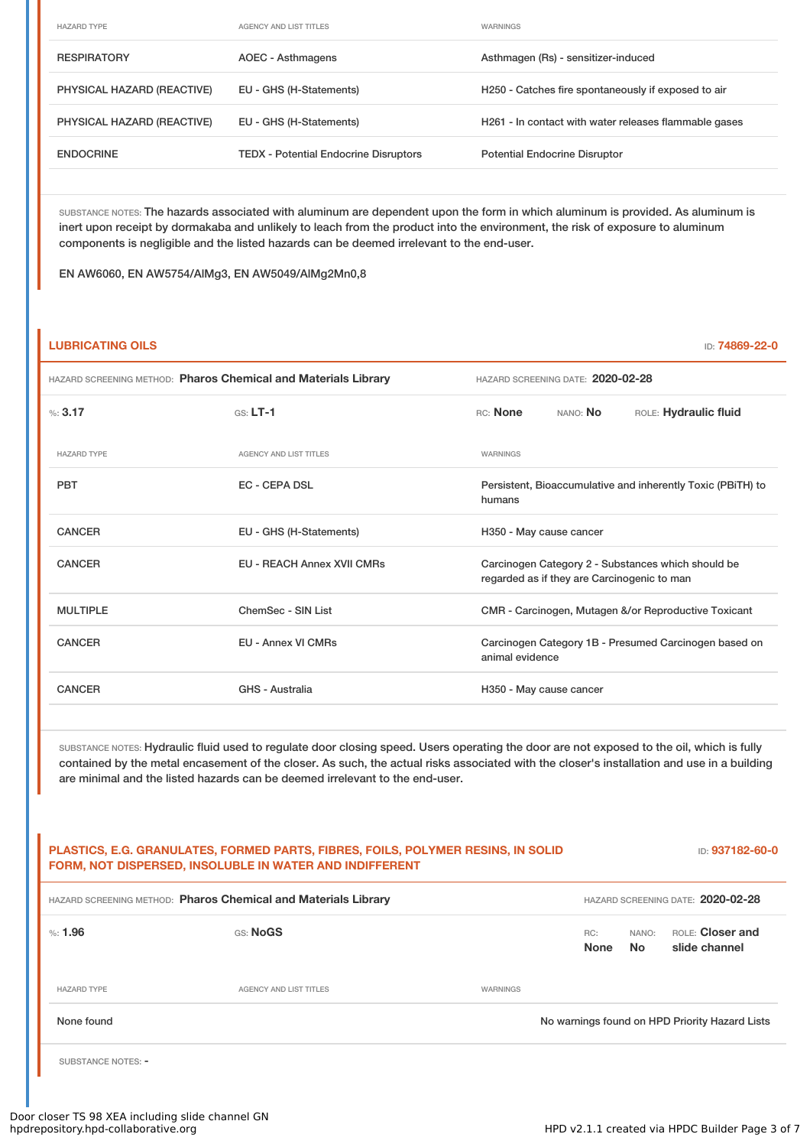| <b>HAZARD TYPE</b>         | AGENCY AND LIST TITLES                       | WARNINGS                                              |
|----------------------------|----------------------------------------------|-------------------------------------------------------|
| <b>RESPIRATORY</b>         | AOEC - Asthmagens                            | Asthmagen (Rs) - sensitizer-induced                   |
| PHYSICAL HAZARD (REACTIVE) | EU - GHS (H-Statements)                      | H250 - Catches fire spontaneously if exposed to air   |
| PHYSICAL HAZARD (REACTIVE) | EU - GHS (H-Statements)                      | H261 - In contact with water releases flammable gases |
| <b>ENDOCRINE</b>           | <b>TEDX</b> - Potential Endocrine Disruptors | <b>Potential Endocrine Disruptor</b>                  |

SUBSTANCE NOTES: The hazards associated with aluminum are dependent upon the form in which aluminum is provided. As aluminum is inert upon receipt by dormakaba and unlikely to leach from the product into the environment, the risk of exposure to aluminum components is negligible and the listed hazards can be deemed irrelevant to the end-user.

EN AW6060, EN AW5754/AlMg3, EN AW5049/AlMg2Mn0,8

## **LUBRICATING OILS** ID: **74869-22-0**

| HAZARD SCREENING METHOD: Pharos Chemical and Materials Library |                                   | HAZARD SCREENING DATE: 2020-02-28                                                                 |                       |  |  |  |
|----------------------------------------------------------------|-----------------------------------|---------------------------------------------------------------------------------------------------|-----------------------|--|--|--|
| %3.17                                                          | $GS: LT-1$                        | RC: None                                                                                          | ROLE: Hydraulic fluid |  |  |  |
| <b>HAZARD TYPE</b>                                             | <b>AGENCY AND LIST TITLES</b>     | WARNINGS                                                                                          |                       |  |  |  |
| <b>PBT</b>                                                     | <b>EC - CEPA DSL</b>              | Persistent, Bioaccumulative and inherently Toxic (PBiTH) to<br>humans                             |                       |  |  |  |
| <b>CANCER</b>                                                  | EU - GHS (H-Statements)           | H350 - May cause cancer                                                                           |                       |  |  |  |
| <b>CANCER</b>                                                  | <b>EU - REACH Annex XVII CMRs</b> | Carcinogen Category 2 - Substances which should be<br>regarded as if they are Carcinogenic to man |                       |  |  |  |
| <b>MULTIPLE</b>                                                | ChemSec - SIN List                | CMR - Carcinogen, Mutagen &/or Reproductive Toxicant                                              |                       |  |  |  |
| CANCER                                                         | EU - Annex VI CMRs                | Carcinogen Category 1B - Presumed Carcinogen based on<br>animal evidence                          |                       |  |  |  |
| <b>CANCER</b>                                                  | GHS - Australia                   | H350 - May cause cancer                                                                           |                       |  |  |  |
|                                                                |                                   |                                                                                                   |                       |  |  |  |

SUBSTANCE NOTES: Hydraulic fluid used to regulate door closing speed. Users operating the door are not exposed to the oil, which is fully contained by the metal encasement of the closer. As such, the actual risks associated with the closer's installation and use in a building are minimal and the listed hazards can be deemed irrelevant to the end-user.

# **PLASTICS, E.G. GRANULATES, FORMED PARTS, FIBRES, FOILS, POLYMER RESINS, IN SOLID FORM, NOT DISPERSED, INSOLUBLE IN WATER AND INDIFFERENT** ID: **937182-60-0** HAZARD SCREENING METHOD: **Pharos Chemical and Materials Library** HAZARD SCREENING DATE: **2020-02-28** %: **1.96** GS: **NoGS** RC: **None** NANO: **No** ROLE: **Closer and slide channel** HAZARD TYPE AGENCY AND LIST TITLES WARNINGS None found Now arrings found on HPD Priority Hazard Lists

SUBSTANCE NOTES: -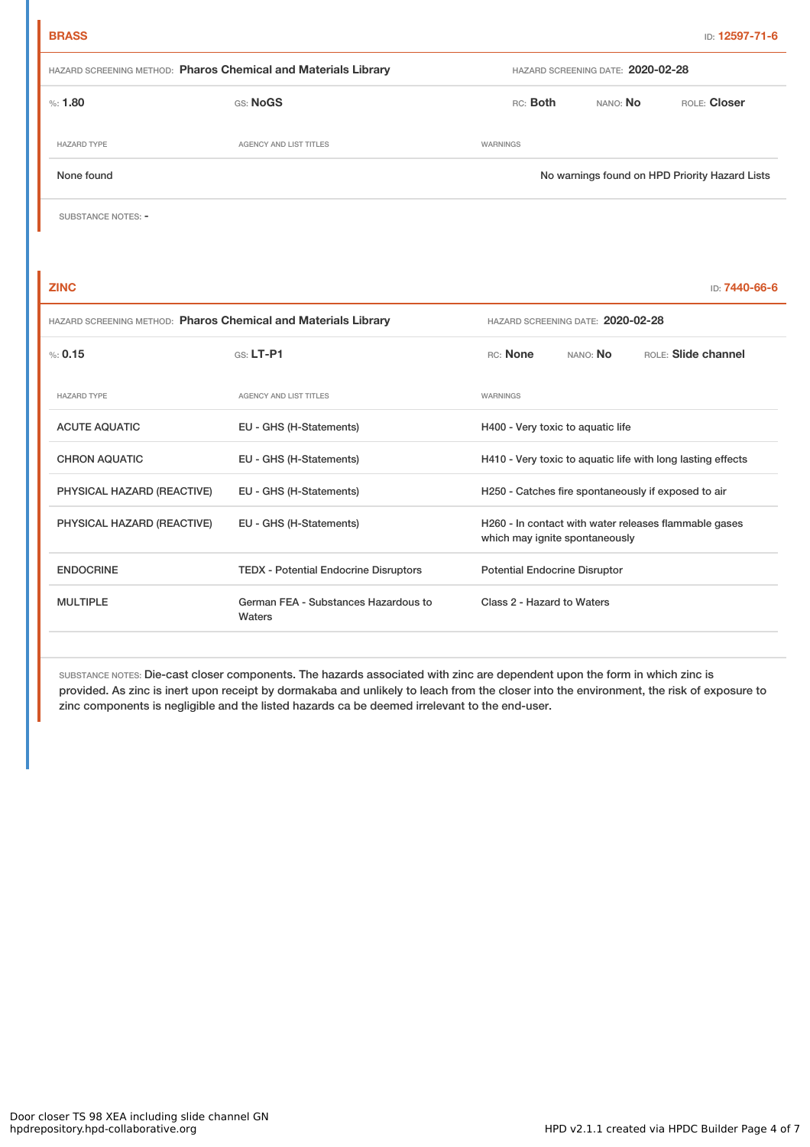| HAZARD SCREENING METHOD: Pharos Chemical and Materials Library |                                                | HAZARD SCREENING DATE: 2020-02-28 |          |          |              |
|----------------------------------------------------------------|------------------------------------------------|-----------------------------------|----------|----------|--------------|
| $\%: 1.80$                                                     | <b>GS: NoGS</b>                                |                                   | RC: Both | NANO: No | ROLE: Closer |
| <b>HAZARD TYPE</b>                                             | AGENCY AND LIST TITLES                         | WARNINGS                          |          |          |              |
| None found                                                     | No warnings found on HPD Priority Hazard Lists |                                   |          |          |              |

SUBSTANCE NOTES: -

| <b>ZINC</b>                                                    |                                                |                                                                                         |                            | ID: 7440-66-6 |  |
|----------------------------------------------------------------|------------------------------------------------|-----------------------------------------------------------------------------------------|----------------------------|---------------|--|
| HAZARD SCREENING METHOD: Pharos Chemical and Materials Library |                                                | HAZARD SCREENING DATE: 2020-02-28                                                       |                            |               |  |
| % 0.15                                                         | $GS: LT-PI$                                    | <b>RC:</b> None                                                                         | <b>BOLE:</b> Slide channel |               |  |
| <b>HAZARD TYPE</b>                                             | <b>AGENCY AND LIST TITLES</b>                  | WARNINGS                                                                                |                            |               |  |
| <b>ACUTE AQUATIC</b>                                           | EU - GHS (H-Statements)                        | H400 - Very toxic to aquatic life                                                       |                            |               |  |
| <b>CHRON AQUATIC</b>                                           | EU - GHS (H-Statements)                        | H410 - Very toxic to aquatic life with long lasting effects                             |                            |               |  |
| PHYSICAL HAZARD (REACTIVE)                                     | EU - GHS (H-Statements)                        | H250 - Catches fire spontaneously if exposed to air                                     |                            |               |  |
| PHYSICAL HAZARD (REACTIVE)                                     | EU - GHS (H-Statements)                        | H260 - In contact with water releases flammable gases<br>which may ignite spontaneously |                            |               |  |
| <b>ENDOCRINE</b>                                               | <b>TEDX</b> - Potential Endocrine Disruptors   | <b>Potential Endocrine Disruptor</b>                                                    |                            |               |  |
| <b>MULTIPLE</b>                                                | German FEA - Substances Hazardous to<br>Waters | Class 2 - Hazard to Waters                                                              |                            |               |  |

SUBSTANCE NOTES: Die-cast closer components. The hazards associated with zinc are dependent upon the form in which zinc is provided. As zinc is inert upon receipt by dormakaba and unlikely to leach from the closer into the environment, the risk of exposure to zinc components is negligible and the listed hazards ca be deemed irrelevant to the end-user.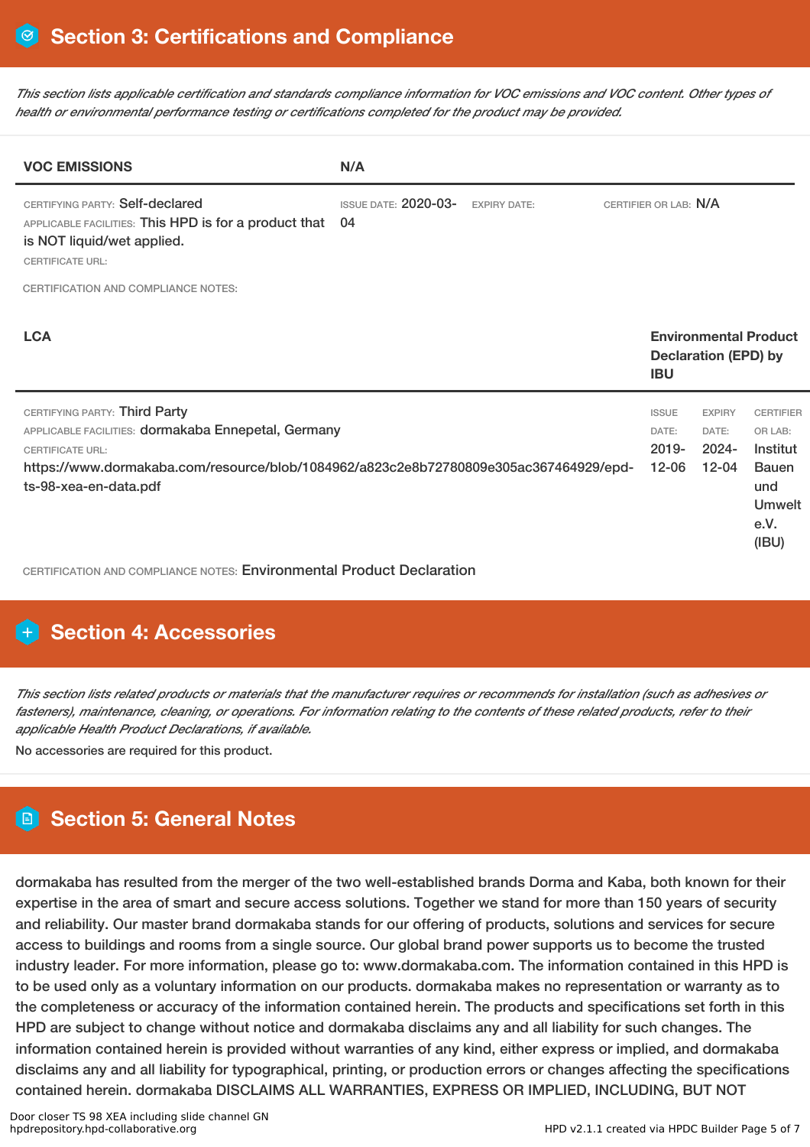This section lists applicable certification and standards compliance information for VOC emissions and VOC content. Other types of *health or environmental performance testing or certifications completed for the product may be provided.*

| <b>VOC EMISSIONS</b>                                                                                                                                                                                                              | N/A                                                      |  |  |                                                |                                                 |                                                                                                  |
|-----------------------------------------------------------------------------------------------------------------------------------------------------------------------------------------------------------------------------------|----------------------------------------------------------|--|--|------------------------------------------------|-------------------------------------------------|--------------------------------------------------------------------------------------------------|
| CERTIFYING PARTY: Self-declared<br>APPLICABLE FACILITIES: This HPD is for a product that<br>is NOT liquid/wet applied.<br><b>CERTIFICATE URL:</b>                                                                                 | <b>ISSUE DATE: 2020-03-</b><br><b>EXPIRY DATE:</b><br>04 |  |  | CERTIFIER OR LAB: N/A                          |                                                 |                                                                                                  |
| <b>CERTIFICATION AND COMPLIANCE NOTES:</b>                                                                                                                                                                                        |                                                          |  |  |                                                |                                                 |                                                                                                  |
| <b>LCA</b>                                                                                                                                                                                                                        |                                                          |  |  | <b>IBU</b>                                     | <b>Declaration (EPD) by</b>                     | <b>Environmental Product</b>                                                                     |
| CERTIFYING PARTY: Third Party<br>APPLICABLE FACILITIES: dormakaba Ennepetal, Germany<br><b>CERTIFICATE URL:</b><br>https://www.dormakaba.com/resource/blob/1084962/a823c2e8b72780809e305ac367464929/epd-<br>ts-98-xea-en-data.pdf |                                                          |  |  | <b>ISSUE</b><br>DATE:<br>$2019 -$<br>$12 - 06$ | <b>EXPIRY</b><br>DATE:<br>$2024 -$<br>$12 - 04$ | <b>CERTIFIER</b><br>OR LAB:<br>Institut<br><b>Bauen</b><br>und<br><b>Umwelt</b><br>e.V.<br>(IBU) |

CERTIFICATION AND COMPLIANCE NOTES: Environmental Product Declaration

# **H** Section 4: Accessories

This section lists related products or materials that the manufacturer requires or recommends for installation (such as adhesives or fasteners), maintenance, cleaning, or operations. For information relating to the contents of these related products, refer to their *applicable Health Product Declarations, if available.*

No accessories are required for this product.

# **Section 5: General Notes**

dormakaba has resulted from the merger of the two well-established brands Dorma and Kaba, both known for their expertise in the area of smart and secure access solutions. Together we stand for more than 150 years of security and reliability. Our master brand dormakaba stands for our offering of products, solutions and services for secure access to buildings and rooms from a single source. Our global brand power supports us to become the trusted industry leader. For more information, please go to: www.dormakaba.com. The information contained in this HPD is to be used only as a voluntary information on our products. dormakaba makes no representation or warranty as to the completeness or accuracy of the information contained herein. The products and specifications set forth in this HPD are subject to change without notice and dormakaba disclaims any and all liability for such changes. The information contained herein is provided without warranties of any kind, either express or implied, and dormakaba disclaims any and all liability for typographical, printing, or production errors or changes affecting the specifications contained herein. dormakaba DISCLAIMS ALL WARRANTIES, EXPRESS OR IMPLIED, INCLUDING, BUT NOT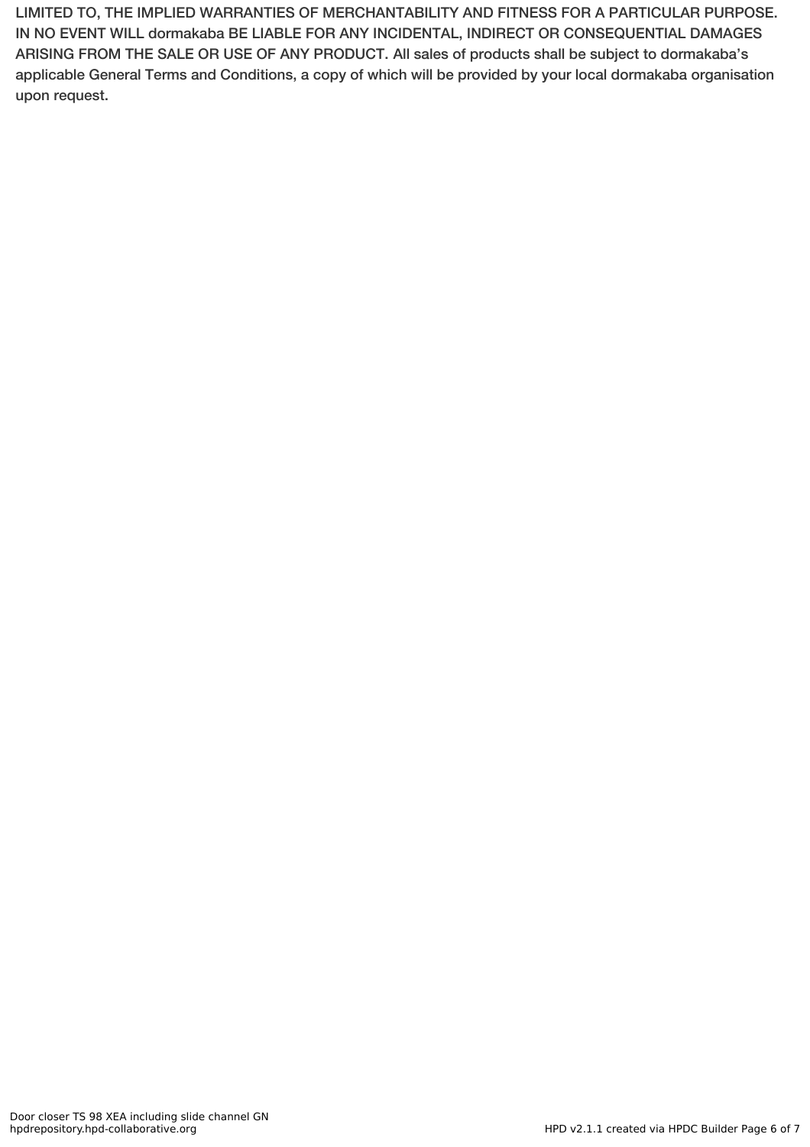LIMITED TO, THE IMPLIED WARRANTIES OF MERCHANTABILITY AND FITNESS FOR A PARTICULAR PURPOSE. IN NO EVENT WILL dormakaba BE LIABLE FOR ANY INCIDENTAL, INDIRECT OR CONSEQUENTIAL DAMAGES ARISING FROM THE SALE OR USE OF ANY PRODUCT. All sales of products shall be subject to dormakaba's applicable General Terms and Conditions, a copy of which will be provided by your local dormakaba organisation upon request.